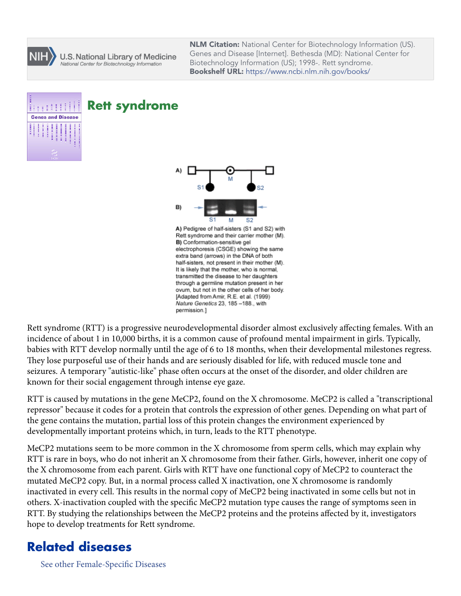

U.S. National Library of Medicine National Center for Biotechnology Information

**NLM Citation:** National Center for Biotechnology Information (US). Genes and Disease [Internet]. Bethesda (MD): National Center for Biotechnology Information (US); 1998-. Rett syndrome. **Bookshelf URL:** https://www.ncbi.nlm.nih.gov/books/



## **Rett syndrome**



A) Pedigree of half-sisters (S1 and S2) with Rett syndrome and their carrier mother (M). B) Conformation-sensitive gel electrophoresis (CSGE) showing the same extra band (arrows) in the DNA of both half-sisters, not present in their mother (M). It is likely that the mother, who is normal, transmitted the disease to her daughters through a germline mutation present in her ovum, but not in the other cells of her body. [Adapted from Amir, R.E. et al. (1999) Nature Genetics 23, 185-188., with permission.]

Rett syndrome (RTT) is a progressive neurodevelopmental disorder almost exclusively affecting females. With an incidence of about 1 in 10,000 births, it is a common cause of profound mental impairment in girls. Typically, babies with RTT develop normally until the age of 6 to 18 months, when their developmental milestones regress. They lose purposeful use of their hands and are seriously disabled for life, with reduced muscle tone and seizures. A temporary "autistic-like" phase often occurs at the onset of the disorder, and older children are known for their social engagement through intense eye gaze.

RTT is caused by mutations in the gene MeCP2, found on the X chromosome. MeCP2 is called a "transcriptional repressor" because it codes for a protein that controls the expression of other genes. Depending on what part of the gene contains the mutation, partial loss of this protein changes the environment experienced by developmentally important proteins which, in turn, leads to the RTT phenotype.

MeCP2 mutations seem to be more common in the X chromosome from sperm cells, which may explain why RTT is rare in boys, who do not inherit an X chromosome from their father. Girls, however, inherit one copy of the X chromosome from each parent. Girls with RTT have one functional copy of MeCP2 to counteract the mutated MeCP2 copy. But, in a normal process called X inactivation, one X chromosome is randomly inactivated in every cell. This results in the normal copy of MeCP2 being inactivated in some cells but not in others. X-inactivation coupled with the specific MeCP2 mutation type causes the range of symptoms seen in RTT. By studying the relationships between the MeCP2 proteins and the proteins affected by it, investigators hope to develop treatments for Rett syndrome.

## **Related diseases**

[See other Female-Specific Diseases](https://www.ncbi.nlm.nih.gov/books/n/gnd/A39/)